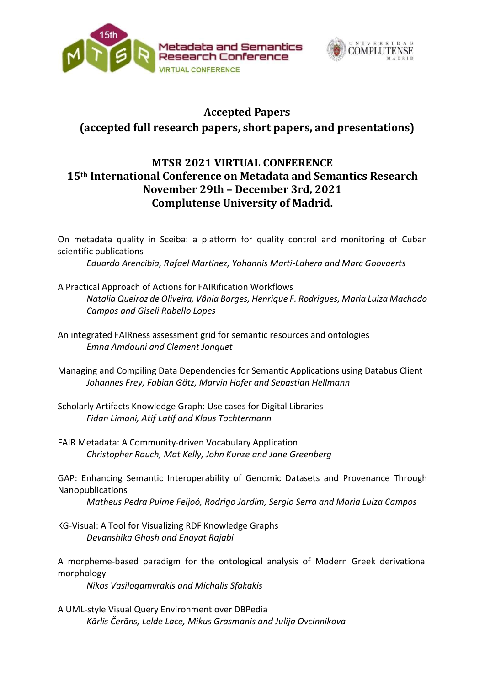



## Accepted Papers

## (accepted full research papers, short papers, and presentations)

## MTSR 2021 VIRTUAL CONFERENCE 15th International Conference on Metadata and Semantics Research November 29th – December 3rd, 2021 Complutense University of Madrid.

On metadata quality in Sceiba: a platform for quality control and monitoring of Cuban scientific publications

Eduardo Arencibia, Rafael Martinez, Yohannis Marti-Lahera and Marc Goovaerts

- A Practical Approach of Actions for FAIRification Workflows Natalia Queiroz de Oliveira, Vânia Borges, Henrique F. Rodrigues, Maria Luiza Machado Campos and Giseli Rabello Lopes
- An integrated FAIRness assessment grid for semantic resources and ontologies Emna Amdouni and Clement Jonquet
- Managing and Compiling Data Dependencies for Semantic Applications using Databus Client Johannes Frey, Fabian Götz, Marvin Hofer and Sebastian Hellmann
- Scholarly Artifacts Knowledge Graph: Use cases for Digital Libraries Fidan Limani, Atif Latif and Klaus Tochtermann
- FAIR Metadata: A Community-driven Vocabulary Application Christopher Rauch, Mat Kelly, John Kunze and Jane Greenberg

GAP: Enhancing Semantic Interoperability of Genomic Datasets and Provenance Through Nanopublications

Matheus Pedra Puime Feijoó, Rodrigo Jardim, Sergio Serra and Maria Luiza Campos

KG-Visual: A Tool for Visualizing RDF Knowledge Graphs Devanshika Ghosh and Enayat Rajabi

A morpheme-based paradigm for the ontological analysis of Modern Greek derivational morphology

Nikos Vasilogamvrakis and Michalis Sfakakis

A UML-style Visual Query Environment over DBPedia Kārlis Čerāns, Lelde Lace, Mikus Grasmanis and Julija Ovcinnikova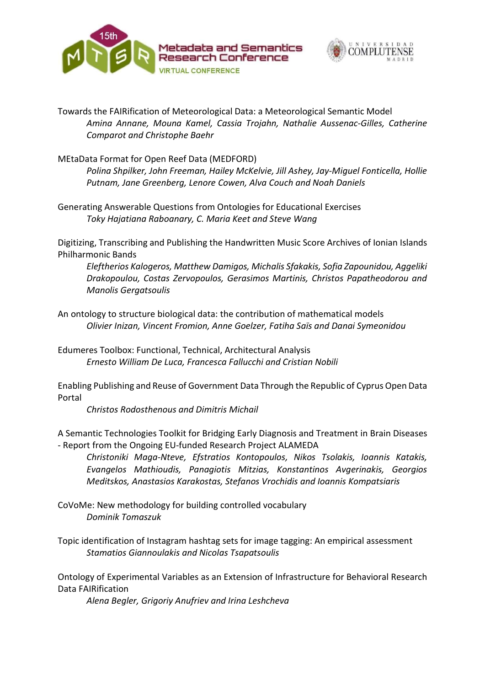



Towards the FAIRification of Meteorological Data: a Meteorological Semantic Model Amina Annane, Mouna Kamel, Cassia Trojahn, Nathalie Aussenac-Gilles, Catherine Comparot and Christophe Baehr

MEtaData Format for Open Reef Data (MEDFORD)

Polina Shpilker, John Freeman, Hailey McKelvie, Jill Ashey, Jay-Miguel Fonticella, Hollie Putnam, Jane Greenberg, Lenore Cowen, Alva Couch and Noah Daniels

Generating Answerable Questions from Ontologies for Educational Exercises Toky Hajatiana Raboanary, C. Maria Keet and Steve Wang

Digitizing, Transcribing and Publishing the Handwritten Music Score Archives of Ionian Islands Philharmonic Bands

Eleftherios Kalogeros, Matthew Damigos, Michalis Sfakakis, Sofia Zapounidou, Aggeliki Drakopoulou, Costas Zervopoulos, Gerasimos Martinis, Christos Papatheodorou and Manolis Gergatsoulis

An ontology to structure biological data: the contribution of mathematical models Olivier Inizan, Vincent Fromion, Anne Goelzer, Fatiha Saïs and Danai Symeonidou

Edumeres Toolbox: Functional, Technical, Architectural Analysis Ernesto William De Luca, Francesca Fallucchi and Cristian Nobili

Enabling Publishing and Reuse of Government Data Through the Republic of Cyprus Open Data Portal

Christos Rodosthenous and Dimitris Michail

A Semantic Technologies Toolkit for Bridging Early Diagnosis and Treatment in Brain Diseases - Report from the Ongoing EU-funded Research Project ALAMEDA

Christoniki Maga-Nteve, Efstratios Kontopoulos, Nikos Tsolakis, Ioannis Katakis, Evangelos Mathioudis, Panagiotis Mitzias, Konstantinos Avgerinakis, Georgios Meditskos, Anastasios Karakostas, Stefanos Vrochidis and Ioannis Kompatsiaris

CoVoMe: New methodology for building controlled vocabulary Dominik Tomaszuk

Topic identification of Instagram hashtag sets for image tagging: An empirical assessment Stamatios Giannoulakis and Nicolas Tsapatsoulis

Ontology of Experimental Variables as an Extension of Infrastructure for Behavioral Research Data FAIRification

Alena Begler, Grigoriy Anufriev and Irina Leshcheva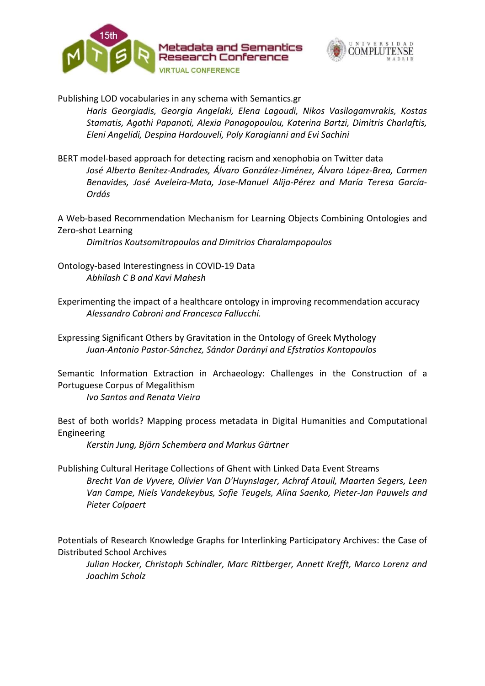



Publishing LOD vocabularies in any schema with Semantics.gr

Haris Georgiadis, Georgia Angelaki, Elena Lagoudi, Nikos Vasilogamvrakis, Kostas Stamatis, Agathi Papanoti, Alexia Panagopoulou, Katerina Bartzi, Dimitris Charlaftis, Eleni Angelidi, Despina Ηardouveli, Poly Karagianni and Evi Sachini

BERT model-based approach for detecting racism and xenophobia on Twitter data José Alberto Benítez-Andrades, Álvaro González-Jiménez, Álvaro López-Brea, Carmen Benavides, José Aveleira-Mata, Jose-Manuel Alija-Pérez and María Teresa García-Ordás

A Web-based Recommendation Mechanism for Learning Objects Combining Ontologies and Zero-shot Learning

Dimitrios Koutsomitropoulos and Dimitrios Charalampopoulos

- Ontology-based Interestingness in COVID-19 Data Abhilash C B and Kavi Mahesh
- Experimenting the impact of a healthcare ontology in improving recommendation accuracy Alessandro Cabroni and Francesca Fallucchi.

Expressing Significant Others by Gravitation in the Ontology of Greek Mythology Juan-Antonio Pastor-Sánchez, Sándor Darányi and Efstratios Kontopoulos

Semantic Information Extraction in Archaeology: Challenges in the Construction of a Portuguese Corpus of Megalithism

Ivo Santos and Renata Vieira

Best of both worlds? Mapping process metadata in Digital Humanities and Computational Engineering

Kerstin Jung, Björn Schembera and Markus Gärtner

Publishing Cultural Heritage Collections of Ghent with Linked Data Event Streams Brecht Van de Vyvere, Olivier Van D'Huynslager, Achraf Atauil, Maarten Segers, Leen Van Campe, Niels Vandekeybus, Sofie Teugels, Alina Saenko, Pieter-Jan Pauwels and Pieter Colpaert

Potentials of Research Knowledge Graphs for Interlinking Participatory Archives: the Case of Distributed School Archives

Julian Hocker, Christoph Schindler, Marc Rittberger, Annett Krefft, Marco Lorenz and Joachim Scholz